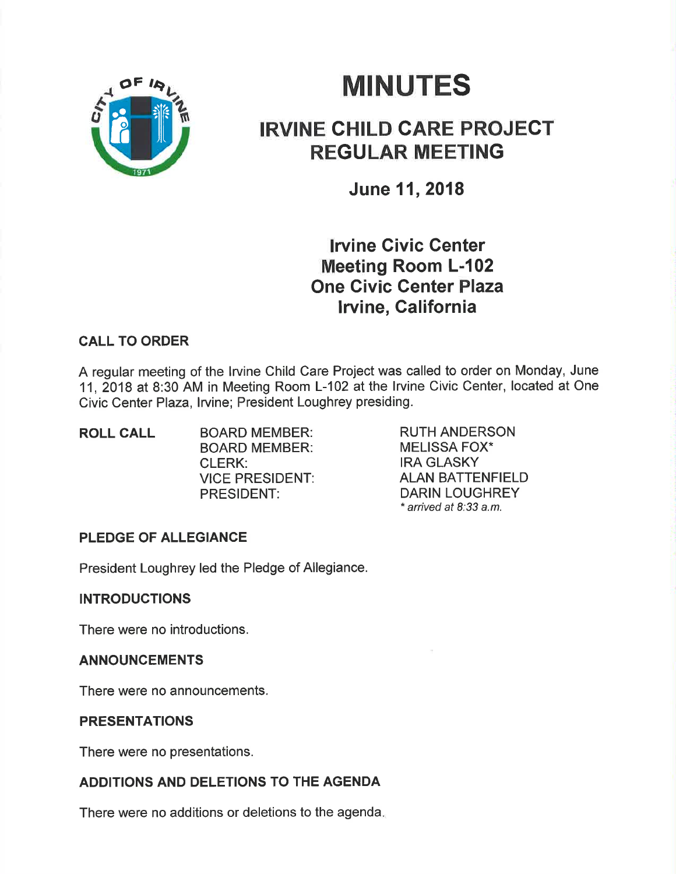

# **MINUTES**

## IRVINE CHILD CARE PROJECT REGULAR MEETING

June 11,2018

lrvine Givic Genter Meeting Room L-102 One Civic Genter Plaza lrvine, Galifornia

### CALL TO ORDER

A regular meeting of the lrvine Child Care Project was called to order on Monday, June 11,2018 at 8:30 AM in Meeting Room L-102 atthe lrvine Civic Center, located at One Civic Center Plaza, lrvine; President Loughrey presiding.

ROLL CALL BOARD MEMBER: BOARD MEMBER: CLERK: VICE PRESIDENT: PRESIDENT:

RUTH ANDERSON MELISSA FOX\* IRA GLASKY ALAN BATTENFIELD DARIN LOUGHREY \* arrived at 8:33 a.m.

### PLEDGE OF ALLEGIANCE

President Loughrey led the Pledge of Allegiance.

#### INTRODUCTIONS

There were no introductions.

#### ANNOUNCEMENTS

There were no announcements.

#### PRESENTATIONS

There were no presentations.

#### ADDITIONS AND DELETIONS TO THE AGENDA

There were no additions or deletions to the agenda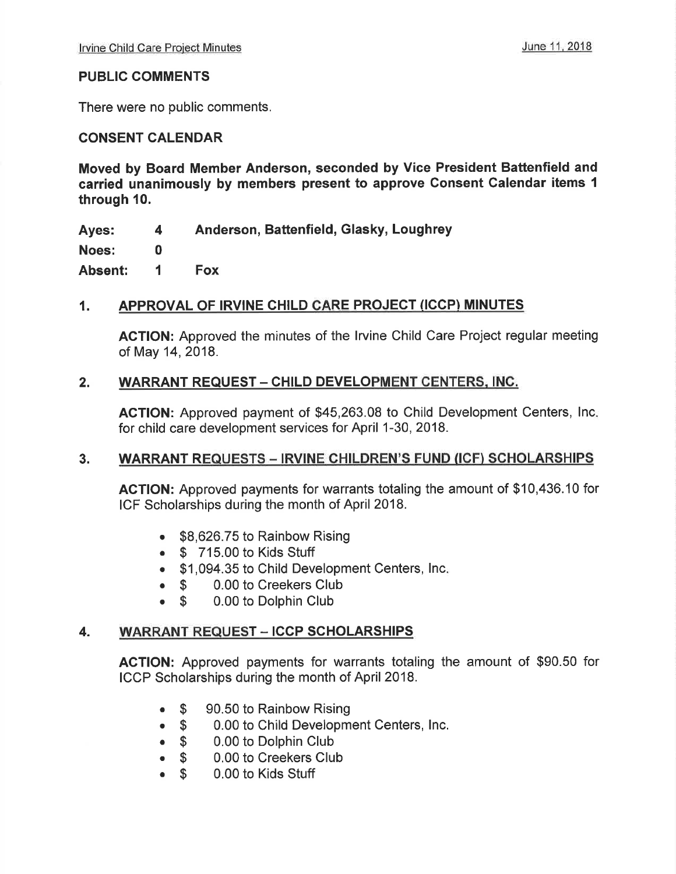#### PUBLIC COMMENTS

There were no public comments.

#### CONSENT CALENDAR

Moved by Board Member Anderson, seconded by Vice President Battenfield and carried unanimously by members present to approve Consent Calendar items I through 10.

Ayes: Anderson, Battenfield, Glasky, Loughrey 4

Noes: 0

Absent: <sup>1</sup> Fox

#### 1. APPROVAL OF IRVINE CHILD CARE PROJECT (ICCP) MINUTES

ACTION: Approved the minutes of the lrvine Child Care Project regular meeting of May 14,2018.

#### 2. WARRANT REQUEST - CHILD DEVELOPMENT CENTERS, INC.

ACTION: Approved payment of \$45,263.08 to Child Development Centers, lnc for child care development services for April 1-30, 2018.

#### 3. WARRANT REQUESTS - IRVINE CHILDREN'S FUND (ICF) SCHOLARSHIPS

AGTION: Approved payments for warrants totaling the amount of \$10,436.10 for ICF Scholarships during the month of April 2018.

- . \$8,626.75 to Rainbow Rising
- $\bullet$   $$$  715.00 to Kids Stuff
- \$1,094.35 to Child Development Centers, Inc.
- 
- **S** 0.00 to Creekers Club<br> **S** 0.00 to Dolphin Club 0.00 to Dolphin Club

#### 4. WARRANT REQUEST - ICCP SCHOLARSHIPS

AGTION: Approved payments for warrants totaling the amount of \$90.50 for ICCP Scholarships during the month of April 2018.

- $\bullet$  \$ 90.50 to Rainbow Rising
- $\bullet$  \$ 0.00 to Child Development Centers, Inc.
- $\bullet$  \$ 0.00 to Dolphin Club
- $\bullet$  \$ 0.00 to Creekers Club
- $$^{\circ}$ 0.00 to Kids Stuff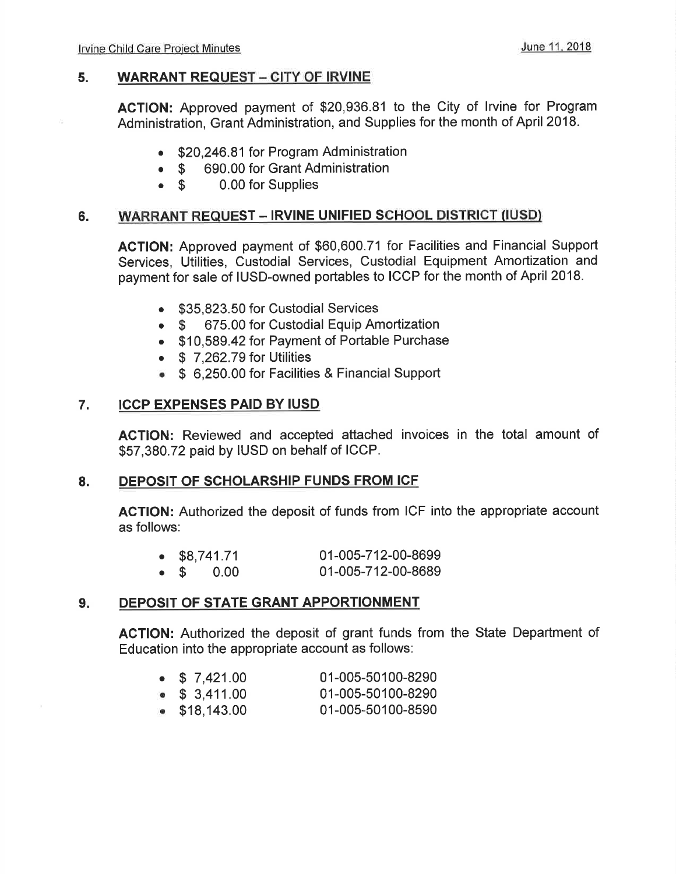#### 5. WARRANT REQUEST - CITY OF IRVINE

AGTION: Approved payment of \$20,936.81 to the City of lrvine for Program Administration, Grant Administration, and Supplies for the month of April 2018.

- \$20,246.81 for Program Administration
- \$ 690.00 for Grant Administration<br>• \$ 0.00 for Supplies
- 0.00 for Supplies

#### 6. WARRANT REQUEST - IRVINE UNIFIED SCHOOL DISTRICT (IUSD)

AGTION: Approved payment of \$60,600.71 tor Facilities and Financial Support Services, Utilities, Custodial Services, Custodial Equipment Amortization and payment for sale of IUSD-owned portables to ICCP for the month of April 2018.

- \$35,823.50 for Custodial Services
- \$ 675.00 for Custodial Equip Amortization
- . \$10,589.42 for Payment of Portable Purchase
- $\bullet$  \$ 7,262.79 for Utilities
- **S** 6,250.00 for Facilities & Financial Support

#### 7. ICCP EXPENSES PAID BY IUSD

AGTION: Reviewed and accepted attached invoices in the total amount of \$57,380.72 paid by IUSD on behalf of ICCP.

#### 8. DEPOSIT OF SCHOLARSHIP FUNDS FROM ICF

AGTION: Authorized the deposit of funds from ICF into the appropriate account as follows:

| $\bullet$ \$8,741.71 |  | 01-005-712-00-8699 |
|----------------------|--|--------------------|
| $\bullet$ \$ 0.00    |  | 01-005-712-00-8689 |

#### 9. DEPOSIT OF STATE GRANT APPORTIONMENT

ACTION: Authorized the deposit of grant funds from the State Department of Education into the appropriate account as follows:

|  | $\bullet$ \$ 7,421.00 | 01-005-50100-8290 |
|--|-----------------------|-------------------|
|  | $\bullet$ \$ 3,411.00 | 01-005-50100-8290 |

. \$18,143.00 01-005-50100-8590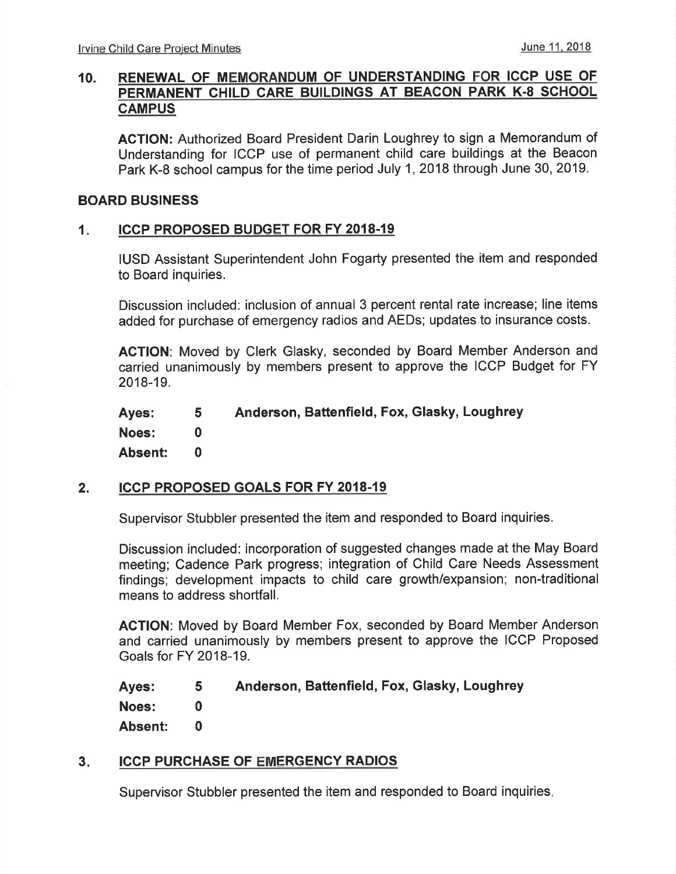#### 10. RENEWAL OF MEMORANDUM OF UNDERSTANDING FOR ICCP USE OF PERMANENT CHILD CARE BUILDINGS AT BEACON PARK K-8 SCHOOL **CAMPUS**

AGTION: Authorized Board President Darin Loughrey to sign a Memorandum of Understanding for ICCP use of permanent child care buildings at the Beacon Park K-8 school campus for the time period July 1,2018 through June 30, 2019.

#### BOARD BUSINESS

#### 1. ICCP PROPOSED BUDGET FOR FY 2018-19

IUSD Assistant Superintendent John Fogarty presented the item and responded to Board inquiries.

Discussion included: inclusion of annual 3 percent rental rate increase; line items added for purchase of emergency radios and AEDs; updates to insurance costs.

ACTION: Moved by Clerk Glasky, seconded by Board Member Anderson and carried unanimously by members present to approve the ICCP Budget for FY 2018-19.

Ayes: Noes: Absent: Anderson, Battenfield, Fox, Glasky, Loughrey 5 0 0

#### 2. ICCP PROPOSED GOALS FOR FY 2018.19

Supervisor Stubbler presented the item and responded to Board inquiries.

Discussion included: incorporation of suggested changes made at the May Board meeting; Cadence Park progress; integration of Child Care Needs Assessment findings; development impacts to child care growth/expansion; non-traditional means to address shortfall.

AGTION: Moved by Board Member Fox, seconded by Board Member Anderson and carried unanimously by members present to approve the ICCP Proposed Goals for FY 2018-19.

| Ayes:   | 5. | Anderson, Battenfield, Fox, Glasky, Loughrey |
|---------|----|----------------------------------------------|
| Noes:   |    |                                              |
| Absent: |    |                                              |

#### ICCP PURCHASE OF EMERGENCY RADIOS  $3<sub>1</sub>$

Supervisor Stubbler presented the item and responded to Board inquiries.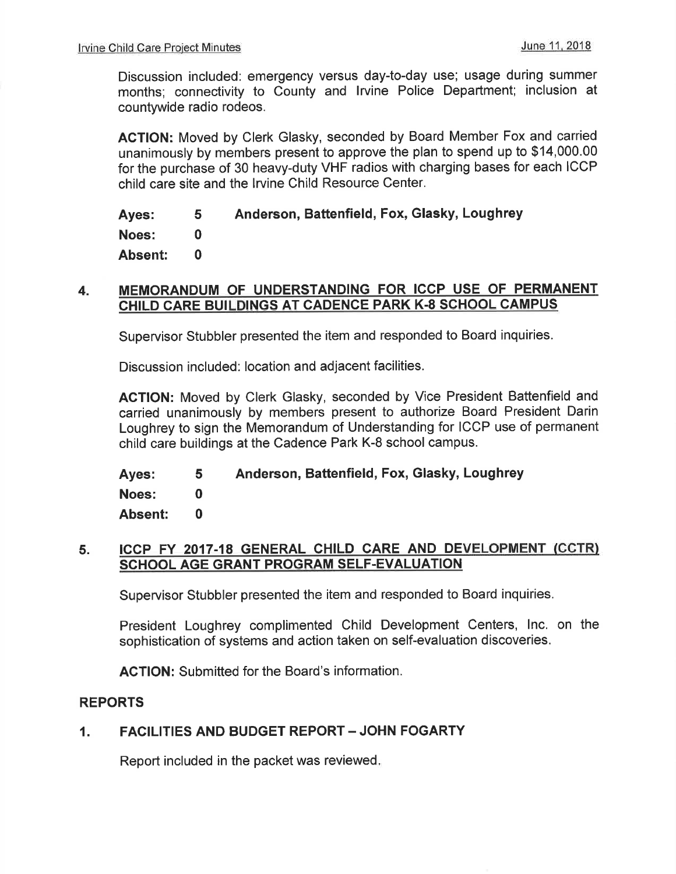Discussion included: emergency versus day-to-day use; usage during summer months; connectivity to County and lrvine Police Department; inclusion at countywide radio rodeos.

AGTION: Moved by Clerk Glasky, seconded by Board Member Fox and carried unanimously by members present to approve the plan to spend up to \$14,000.00 for the purchase of 30 heavy-duty VHF radios with charging bases for each ICCP child care site and the Irvine Child Resource Center.

Ayes: Noes: Absent: Anderson, Battenfield, Fox, Glasky, Loughrey 5 0 0

#### 4. MEMORANDUM OF UNDERSTANDING FOR ICCP USE OF PERMANENT CHILD CARE BUILDINGS AT CADENCE PARK K-8 SCHOOL CAMPUS

Supervisor Stubbler presented the item and responded to Board inquiries.

Discussion included: location and adjacent facilities.

AGTION: Moved by Clerk Glasky, seconded by Vice President Battenfield and carried unanimously by members present to authorize Board President Darin Loughrey to sign the Memorandum of Understanding for ICCP use of permanent child care buildings at the Cadence Park K-8 school campus.

Ayes: Noes: Absent: Anderson, Battenfield, Fox, Glasky, Loughrey 5 0 0

#### 5. ICCP FY 2017-18 GENERAL CHILD CARE AND DEVELOPMENT (CCTR) SCHOOL AGE GRANT PROGRAM SELF.EVALUATION

Supervisor Stubbler presented the item and responded to Board inquiries.

President Loughrey complimented Child Development Centers, lnc. on the sophistication of systems and action taken on self-evaluation discoveries.

AGTION: Submitted for the Board's information.

#### REPORTS

#### 1. FACILITIES AND BUDGET REPORT - JOHN FOGARTY

Report included in the packet was reviewed